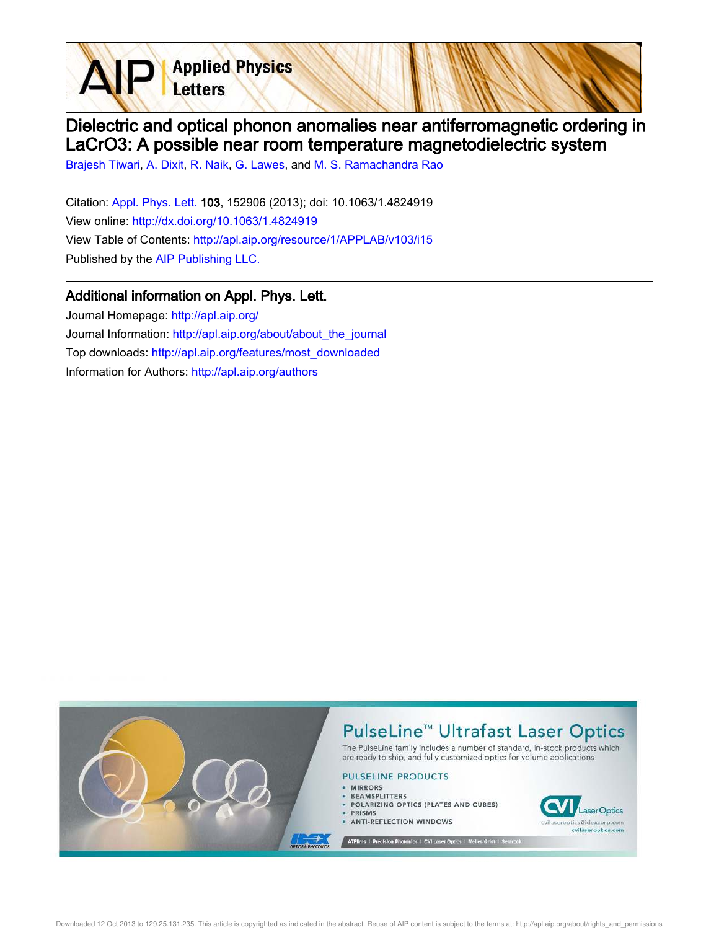Dielectric and optical phonon anomalies near antiferromagnetic ordering in LaCrO3: A possible near room temperature magnetodielectric system

Brajesh Tiwari, A. Dixit, R. Naik, G. Lawes, and M. S. Ramachandra Rao

**Applied Physics** 

Letters

Citation: Appl. Phys. Lett. 103, 152906 (2013); doi: 10.1063/1.4824919 View online: http://dx.doi.org/10.1063/1.4824919 View Table of Contents: http://apl.aip.org/resource/1/APPLAB/v103/i15 Published by the AIP Publishing LLC.

## Additional information on Appl. Phys. Lett.

Journal Homepage: http://apl.aip.org/ Journal Information: http://apl.aip.org/about/about\_the\_journal Top downloads: http://apl.aip.org/features/most\_downloaded Information for Authors: http://apl.aip.org/authors

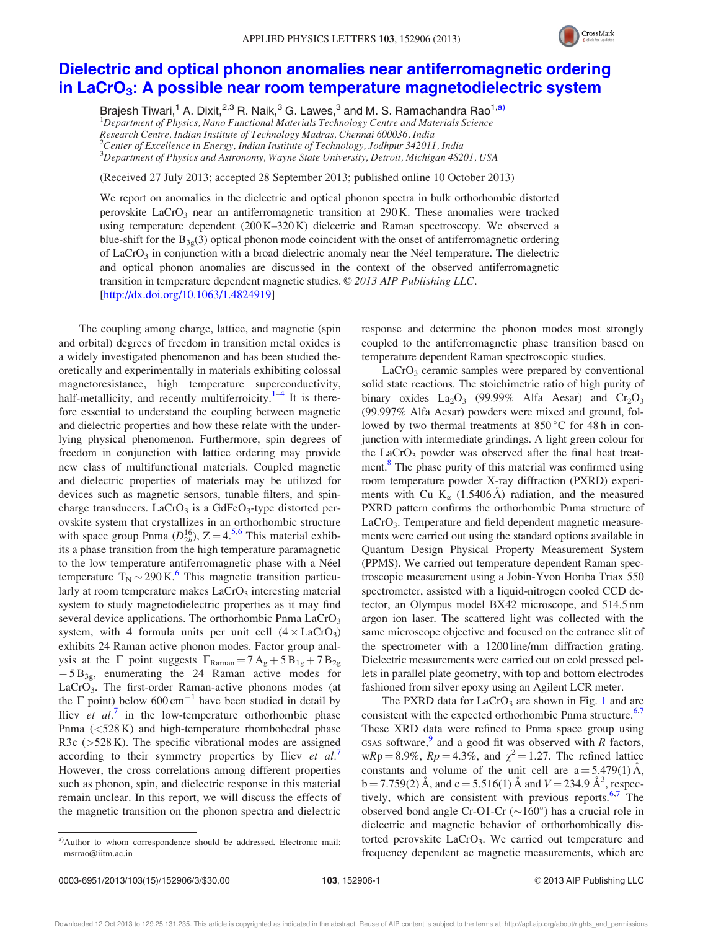

## Dielectric and optical phonon anomalies near antiferromagnetic ordering in LaCrO<sub>3</sub>: A possible near room temperature magnetodielectric system

Brajesh Tiwari,<sup>1</sup> A. Dixit,<sup>2,3</sup> R. Naik,<sup>3</sup> G. Lawes,<sup>3</sup> and M. S. Ramachandra Rao<sup>1,a)</sup>  ${}^{1}$ Department of Physics, Nano Functional Materials Technology Centre and Materials Science Research Centre, Indian Institute of Technology Madras, Chennai 600036, India <sup>2</sup>Center of Excellence in Energy, Indian Institute of Technology, Jodhpur 342011, India <sup>3</sup>Department of Physics and Astronomy, Wayne State University, Detroit, Michigan 48201, USA

(Received 27 July 2013; accepted 28 September 2013; published online 10 October 2013)

We report on anomalies in the dielectric and optical phonon spectra in bulk orthorhombic distorted perovskite  $LaCrO<sub>3</sub>$  near an antiferromagnetic transition at 290 K. These anomalies were tracked using temperature dependent (200 K–320 K) dielectric and Raman spectroscopy. We observed a blue-shift for the  $B_{3g}(3)$  optical phonon mode coincident with the onset of antiferromagnetic ordering of LaCrO<sub>3</sub> in conjunction with a broad dielectric anomaly near the Néel temperature. The dielectric and optical phonon anomalies are discussed in the context of the observed antiferromagnetic transition in temperature dependent magnetic studies.  $\odot$  2013 AIP Publishing LLC. [http://dx.doi.org/10.1063/1.4824919]

The coupling among charge, lattice, and magnetic (spin and orbital) degrees of freedom in transition metal oxides is a widely investigated phenomenon and has been studied theoretically and experimentally in materials exhibiting colossal magnetoresistance, high temperature superconductivity, half-metallicity, and recently multiferroicity.<sup>1–4</sup> It is therefore essential to understand the coupling between magnetic and dielectric properties and how these relate with the underlying physical phenomenon. Furthermore, spin degrees of freedom in conjunction with lattice ordering may provide new class of multifunctional materials. Coupled magnetic and dielectric properties of materials may be utilized for devices such as magnetic sensors, tunable filters, and spincharge transducers.  $LaCrO<sub>3</sub>$  is a GdFeO<sub>3</sub>-type distorted perovskite system that crystallizes in an orthorhombic structure with space group Pnma  $(D_{2h}^{16})$ ,  $Z = 4^{5,6}$  This material exhibits a phase transition from the high temperature paramagnetic to the low temperature antiferromagnetic phase with a Néel temperature  $T_N \sim 290 \text{ K}$ .<sup>6</sup> This magnetic transition particularly at room temperature makes  $LaCrO<sub>3</sub>$  interesting material system to study magnetodielectric properties as it may find several device applications. The orthorhombic Pnma  $LaCrO<sub>3</sub>$ system, with 4 formula units per unit cell  $(4 \times LaCrO<sub>3</sub>)$ exhibits 24 Raman active phonon modes. Factor group analysis at the  $\Gamma$  point suggests  $\Gamma_{\text{Raman}} = 7 \text{A}_{g} + 5 \text{B}_{1g} + 7 \text{B}_{2g}$  $+5 B_{3g}$ , enumerating the 24 Raman active modes for LaCrO<sub>3</sub>. The first-order Raman-active phonons modes (at the  $\Gamma$  point) below 600 cm<sup>-1</sup> have been studied in detail by Iliev et  $al$ <sup>7</sup> in the low-temperature orthorhombic phase Pnma (<528 K) and high-temperature rhombohedral phase R3c  $($ >528 K). The specific vibrational modes are assigned according to their symmetry properties by Iliev et al.<sup>7</sup> However, the cross correlations among different properties such as phonon, spin, and dielectric response in this material remain unclear. In this report, we will discuss the effects of the magnetic transition on the phonon spectra and dielectric response and determine the phonon modes most strongly coupled to the antiferromagnetic phase transition based on temperature dependent Raman spectroscopic studies.

 $LaCrO<sub>3</sub>$  ceramic samples were prepared by conventional solid state reactions. The stoichimetric ratio of high purity of binary oxides  $La_2O_3$  (99.99% Alfa Aesar) and  $Cr_2O_3$ (99.997% Alfa Aesar) powders were mixed and ground, followed by two thermal treatments at  $850^{\circ}$ C for 48 h in conjunction with intermediate grindings. A light green colour for the LaCrO<sub>3</sub> powder was observed after the final heat treatment.<sup>8</sup> The phase purity of this material was confirmed using room temperature powder X-ray diffraction (PXRD) experiments with Cu  $K_{\alpha}$  (1.5406 Å) radiation, and the measured PXRD pattern confirms the orthorhombic Pnma structure of  $LaCrO<sub>3</sub>$ . Temperature and field dependent magnetic measurements were carried out using the standard options available in Quantum Design Physical Property Measurement System (PPMS). We carried out temperature dependent Raman spectroscopic measurement using a Jobin-Yvon Horiba Triax 550 spectrometer, assisted with a liquid-nitrogen cooled CCD detector, an Olympus model BX42 microscope, and 514.5 nm argon ion laser. The scattered light was collected with the same microscope objective and focused on the entrance slit of the spectrometer with a 1200 line/mm diffraction grating. Dielectric measurements were carried out on cold pressed pellets in parallel plate geometry, with top and bottom electrodes fashioned from silver epoxy using an Agilent LCR meter.

The PXRD data for  $LaCrO<sub>3</sub>$  are shown in Fig. 1 and are consistent with the expected orthorhombic Pnma structure.<sup>6,7</sup> These XRD data were refined to Pnma space group using GSAS software,<sup>9</sup> and a good fit was observed with  $R$  factors,  $wRp = 8.9\%, Rp = 4.3\%, and \chi^2 = 1.27.$  The refined lattice constants and volume of the unit cell are  $a = 5.479(1)$  Å,  $b = 7.759(2)$  Å, and  $c = 5.516(1)$  Å and  $V = 234.9$  Å<sup>3</sup>, respectively, which are consistent with previous reports.<sup>6,7</sup> The observed bond angle Cr-O1-Cr ( $\sim$ 160°) has a crucial role in dielectric and magnetic behavior of orthorhombically distorted perovskite LaCrO<sub>3</sub>. We carried out temperature and frequency dependent ac magnetic measurements, which are

a)Author to whom correspondence should be addressed. Electronic mail: msrrao@iitm.ac.in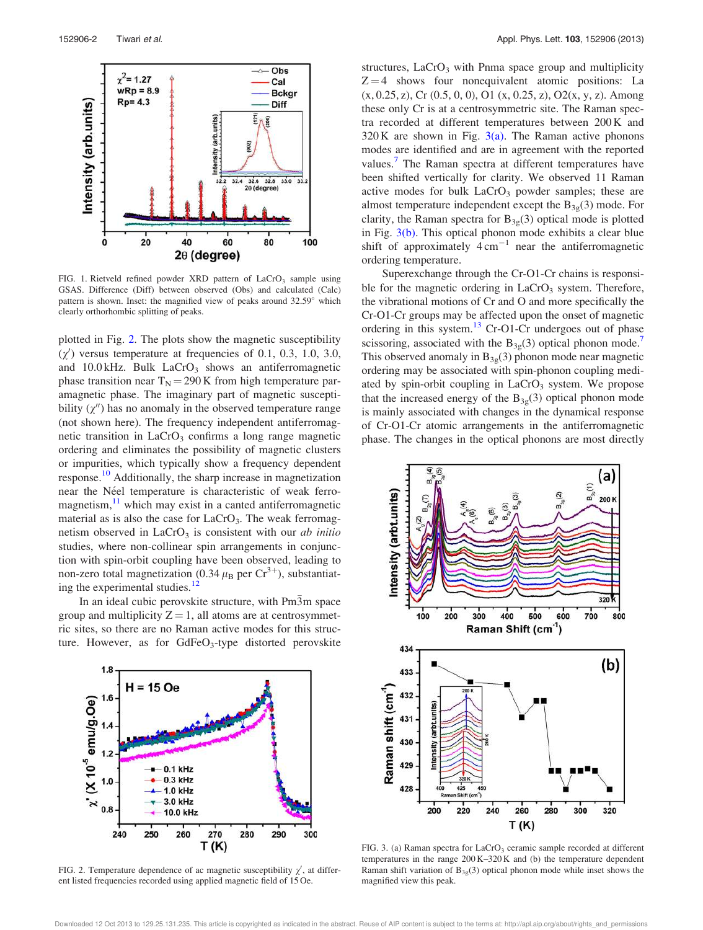

FIG. 1. Rietveld refined powder XRD pattern of LaCrO<sub>3</sub> sample using GSAS. Difference (Diff) between observed (Obs) and calculated (Calc) pattern is shown. Inset: the magnified view of peaks around 32.59° which clearly orthorhombic splitting of peaks.

plotted in Fig. 2. The plots show the magnetic susceptibility  $(\chi')$  versus temperature at frequencies of 0.1, 0.3, 1.0, 3.0, and 10.0 kHz. Bulk  $LaCrO<sub>3</sub>$  shows an antiferromagnetic phase transition near  $T_N = 290$  K from high temperature paramagnetic phase. The imaginary part of magnetic susceptibility  $(\chi'')$  has no anomaly in the observed temperature range (not shown here). The frequency independent antiferromagnetic transition in  $LaCrO<sub>3</sub>$  confirms a long range magnetic ordering and eliminates the possibility of magnetic clusters or impurities, which typically show a frequency dependent response.<sup>10</sup> Additionally, the sharp increase in magnetization near the Néel temperature is characteristic of weak ferromagnetism, $11$  which may exist in a canted antiferromagnetic material as is also the case for  $LaCrO<sub>3</sub>$ . The weak ferromagnetism observed in  $LaCrO<sub>3</sub>$  is consistent with our *ab initio* studies, where non-collinear spin arrangements in conjunction with spin-orbit coupling have been observed, leading to non-zero total magnetization (0.34  $\mu$ <sub>B</sub> per Cr<sup>3+</sup>), substantiating the experimental studies.<sup>12</sup>

In an ideal cubic perovskite structure, with Pm3m space group and multiplicity  $Z = 1$ , all atoms are at centrosymmetric sites, so there are no Raman active modes for this structure. However, as for GdFeO<sub>3</sub>-type distorted perovskite



FIG. 2. Temperature dependence of ac magnetic susceptibility  $\chi'$ , at different listed frequencies recorded using applied magnetic field of 15 Oe.

structures,  $LaCrO<sub>3</sub>$  with Pnma space group and multiplicity  $Z = 4$  shows four nonequivalent atomic positions: La  $(x, 0.25, z)$ , Cr  $(0.5, 0, 0)$ , O1  $(x, 0.25, z)$ , O2 $(x, y, z)$ . Among these only Cr is at a centrosymmetric site. The Raman spectra recorded at different temperatures between 200 K and  $320 K$  are shown in Fig.  $3(a)$ . The Raman active phonons modes are identified and are in agreement with the reported values.<sup>7</sup> The Raman spectra at different temperatures have been shifted vertically for clarity. We observed 11 Raman active modes for bulk  $LaCrO<sub>3</sub>$  powder samples; these are almost temperature independent except the  $B_{3g}(3)$  mode. For clarity, the Raman spectra for  $B_{3g}(3)$  optical mode is plotted in Fig. 3(b). This optical phonon mode exhibits a clear blue shift of approximately  $4 \text{ cm}^{-1}$  near the antiferromagnetic ordering temperature.

Superexchange through the Cr-O1-Cr chains is responsible for the magnetic ordering in  $LaCrO<sub>3</sub>$  system. Therefore, the vibrational motions of Cr and O and more specifically the Cr-O1-Cr groups may be affected upon the onset of magnetic ordering in this system. $^{13}$  Cr-O1-Cr undergoes out of phase scissoring, associated with the  $B_{3g}(3)$  optical phonon mode.<sup>7</sup> This observed anomaly in  $B_{3g}(3)$  phonon mode near magnetic ordering may be associated with spin-phonon coupling mediated by spin-orbit coupling in  $LaCrO<sub>3</sub>$  system. We propose that the increased energy of the  $B_{3g}(3)$  optical phonon mode is mainly associated with changes in the dynamical response of Cr-O1-Cr atomic arrangements in the antiferromagnetic phase. The changes in the optical phonons are most directly



FIG. 3. (a) Raman spectra for LaCrO<sub>3</sub> ceramic sample recorded at different temperatures in the range 200 K–320 K and (b) the temperature dependent Raman shift variation of  $B_{3g}(3)$  optical phonon mode while inset shows the magnified view this peak.

Downloaded 12 Oct 2013 to 129.25.131.235. This article is copyrighted as indicated in the abstract. Reuse of AIP content is subject to the terms at: http://apl.aip.org/about/rights\_and\_permissions